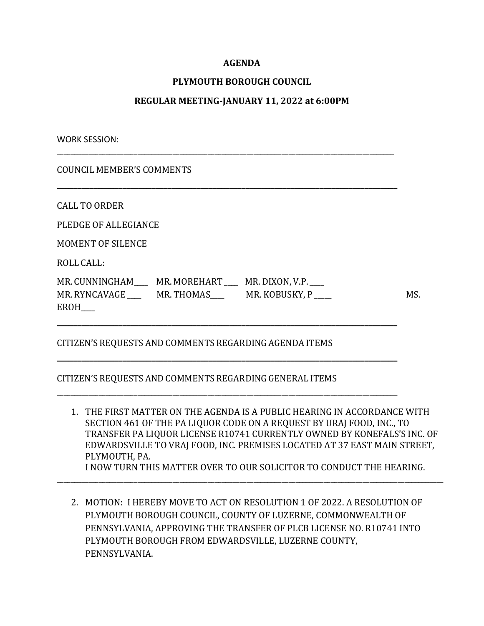## **AGENDA**

## **PLYMOUTH BOROUGH COUNCIL**

### **REGULAR MEETING-JANUARY 11, 2022 at 6:00PM**

\_\_\_\_\_\_\_\_\_\_\_\_\_\_\_\_\_\_\_\_\_\_\_\_\_\_\_\_\_\_\_\_\_\_\_\_\_\_\_\_\_\_\_\_\_\_\_\_\_\_\_\_\_\_\_\_\_\_\_\_\_\_\_\_\_\_\_\_\_\_\_\_\_\_\_\_\_\_\_\_\_\_\_\_\_\_\_\_\_\_\_\_\_\_\_\_

**\_\_\_\_\_\_\_\_\_\_\_\_\_\_\_\_\_\_\_\_\_\_\_\_\_\_\_\_\_\_\_\_\_\_\_\_\_\_\_\_\_\_\_\_\_\_\_\_\_\_\_\_\_\_\_\_\_\_\_\_\_\_\_\_\_\_\_\_\_\_\_\_\_\_\_\_\_\_\_\_\_\_\_**

WORK SESSION:

COUNCIL MEMBER'S COMMENTS

CALL TO ORDER

PLEDGE OF ALLEGIANCE

MOMENT OF SILENCE

ROLL CALL:

| MR. CUNNINGHAM | MR. MOREHART           MR. DIXON, V.P. |                |     |
|----------------|----------------------------------------|----------------|-----|
| MR. RYNCAVAGE  | MR. THOMAS                             | MR. KOBUSKY, P | MS. |
| <b>EROH</b>    |                                        |                |     |

**\_\_\_\_\_\_\_\_\_\_\_\_\_\_\_\_\_\_\_\_\_\_\_\_\_\_\_\_\_\_\_\_\_\_\_\_\_\_\_\_\_\_\_\_\_\_\_\_\_\_\_\_\_\_\_\_\_\_\_\_\_\_\_\_\_\_\_\_\_\_\_\_\_\_\_\_\_\_\_\_\_\_\_**

**\_\_\_\_\_\_\_\_\_\_\_\_\_\_\_\_\_\_\_\_\_\_\_\_\_\_\_\_\_\_\_\_\_\_\_\_\_\_\_\_\_\_\_\_\_\_\_\_\_\_\_\_\_\_\_\_\_\_\_\_\_\_\_\_\_\_\_\_\_\_\_\_\_\_\_\_\_\_\_\_\_\_\_**

\_\_\_\_\_\_\_\_\_\_\_\_\_\_\_\_\_\_\_\_\_\_\_\_\_\_\_\_\_\_\_\_\_\_\_\_\_\_\_\_\_\_\_\_\_\_\_\_\_\_\_\_\_\_\_\_\_\_\_\_\_\_\_\_\_\_\_\_\_\_\_\_\_\_\_\_\_\_\_\_\_\_\_\_\_\_\_\_\_\_\_\_\_\_\_\_\_

# CITIZEN'S REQUESTS AND COMMENTS REGARDING AGENDA ITEMS

#### CITIZEN'S REQUESTS AND COMMENTS REGARDING GENERAL ITEMS

- 1. THE FIRST MATTER ON THE AGENDA IS A PUBLIC HEARING IN ACCORDANCE WITH SECTION 461 OF THE PA LIQUOR CODE ON A REQUEST BY URAJ FOOD, INC., TO TRANSFER PA LIQUOR LICENSE R10741 CURRENTLY OWNED BY KONEFALS'S INC. OF EDWARDSVILLE TO VRAJ FOOD, INC. PREMISES LOCATED AT 37 EAST MAIN STREET, PLYMOUTH, PA. I NOW TURN THIS MATTER OVER TO OUR SOLICITOR TO CONDUCT THE HEARING.
- 2. MOTION: I HEREBY MOVE TO ACT ON RESOLUTION 1 OF 2022. A RESOLUTION OF PLYMOUTH BOROUGH COUNCIL, COUNTY OF LUZERNE, COMMONWEALTH OF PENNSYLVANIA, APPROVING THE TRANSFER OF PLCB LICENSE NO. R10741 INTO PLYMOUTH BOROUGH FROM EDWARDSVILLE, LUZERNE COUNTY, PENNSYLVANIA.

\_\_\_\_\_\_\_\_\_\_\_\_\_\_\_\_\_\_\_\_\_\_\_\_\_\_\_\_\_\_\_\_\_\_\_\_\_\_\_\_\_\_\_\_\_\_\_\_\_\_\_\_\_\_\_\_\_\_\_\_\_\_\_\_\_\_\_\_\_\_\_\_\_\_\_\_\_\_\_\_\_\_\_\_\_\_\_\_\_\_\_\_\_\_\_\_\_\_\_\_\_\_\_\_\_\_\_\_\_\_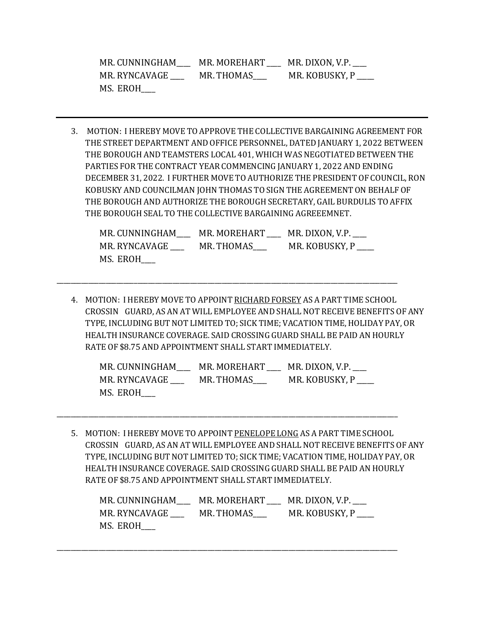| MR. CUNNINGHAM | MR. MOREHART | MR. DIXON, V.P. |
|----------------|--------------|-----------------|
| MR. RYNCAVAGE  | MR. THOMAS   | MR. KOBUSKY, P  |
| MS. EROH       |              |                 |

3. MOTION: I HEREBY MOVE TO APPROVE THE COLLECTIVE BARGAINING AGREEMENT FOR THE STREET DEPARTMENT AND OFFICE PERSONNEL, DATED JANUARY 1, 2022 BETWEEN THE BOROUGHAND TEAMSTERS LOCAL 401, WHICH WAS NEGOTIATED BETWEEN THE PARTIES FOR THE CONTRACT YEAR COMMENCING JANUARY 1, 2022 AND ENDING DECEMBER 31, 2022. I FURTHER MOVE TO AUTHORIZE THE PRESIDENT OF COUNCIL, RON KOBUSKY AND COUNCILMAN JOHN THOMAS TO SIGN THE AGREEMENT ON BEHALF OF THE BOROUGHAND AUTHORIZE THE BOROUGH SECRETARY, GAIL BURDULIS TO AFFIX THE BOROUGH SEAL TO THE COLLECTIVE BARGAINING AGREEEMNET.

| MR. CUNNINGHAM | MR. MOREHART | MR. DIXON, V.P. |
|----------------|--------------|-----------------|
| MR. RYNCAVAGE  | MR. THOMAS   | MR. KOBUSKY, P  |
| MS. EROH       |              |                 |

\_\_\_\_\_\_\_\_\_\_\_\_\_\_\_\_\_\_\_\_\_\_\_\_\_\_\_\_\_\_\_\_\_\_\_\_\_\_\_\_\_\_\_\_\_\_\_\_\_\_\_\_\_\_\_\_\_\_\_\_\_\_\_\_\_\_\_\_\_\_\_\_\_\_\_\_\_\_\_\_\_\_\_\_\_\_\_\_\_\_\_\_\_\_\_\_\_

4. MOTION: I HEREBY MOVE TO APPOINT RICHARD FORSEY AS A PART TIME SCHOOL CROSSIN GUARD, AS ANAT WILL EMPLOYEE AND SHALL NOT RECEIVE BENEFITS OF ANY TYPE, INCLUDING BUT NOT LIMITED TO; SICK TIME; VACATION TIME, HOLIDAY PAY, OR HEALTH INSURANCE COVERAGE. SAID CROSSING GUARD SHALL BE PAID ANHOURLY RATE OF \$8.75 AND APPOINTMENT SHALL START IMMEDIATELY.

| MR. CUNNINGHAM | MR. MOREHART | MR. DIXON, V.P. |
|----------------|--------------|-----------------|
| MR. RYNCAVAGE  | MR. THOMAS   | MR. KOBUSKY, P  |
| MS. EROH       |              |                 |

\_\_\_\_\_\_\_\_\_\_\_\_\_\_\_\_\_\_\_\_\_\_\_\_\_\_\_\_\_\_\_\_\_\_\_\_\_\_\_\_\_\_\_\_\_\_\_\_\_\_\_\_\_\_\_\_\_\_\_\_\_\_\_\_\_\_\_\_\_\_\_\_\_\_\_\_\_\_\_\_\_\_\_\_\_\_\_\_\_\_\_\_\_\_\_\_\_

5. MOTION: I HEREBY MOVE TO APPOINT PENELOPE LONG AS A PART TIME SCHOOL CROSSIN GUARD, AS ANAT WILL EMPLOYEE AND SHALL NOT RECEIVE BENEFITS OF ANY TYPE, INCLUDING BUT NOT LIMITED TO; SICK TIME; VACATION TIME, HOLIDAY PAY, OR HEALTH INSURANCE COVERAGE. SAID CROSSING GUARD SHALL BE PAID ANHOURLY RATE OF \$8.75 AND APPOINTMENT SHALL START IMMEDIATELY.

| MR. CUNNINGHAM | MR. MOREHART | MR. DIXON, V.P. |
|----------------|--------------|-----------------|
| MR. RYNCAVAGE  | MR. THOMAS   | MR. KOBUSKY, P  |
| MS. EROH       |              |                 |

\_\_\_\_\_\_\_\_\_\_\_\_\_\_\_\_\_\_\_\_\_\_\_\_\_\_\_\_\_\_\_\_\_\_\_\_\_\_\_\_\_\_\_\_\_\_\_\_\_\_\_\_\_\_\_\_\_\_\_\_\_\_\_\_\_\_\_\_\_\_\_\_\_\_\_\_\_\_\_\_\_\_\_\_\_\_\_\_\_\_\_\_\_\_\_\_\_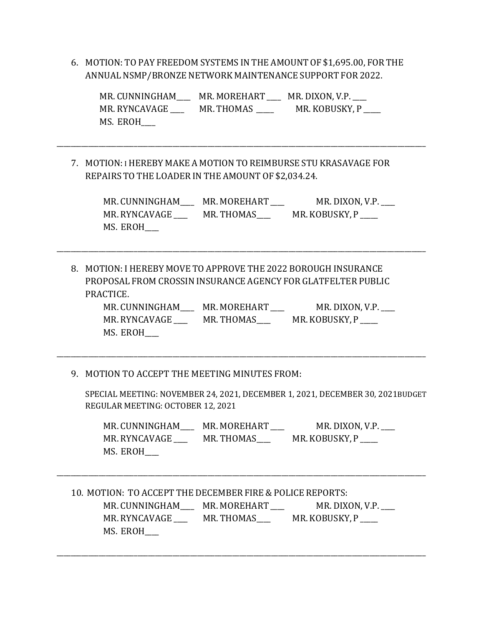6. MOTION: TO PAY FREEDOM SYSTEMSINTHE AMOUNT OF \$1,695.00, FOR THE ANNUAL NSMP/BRONZE NETWORK MAINTENANCE SUPPORT FOR 2022.

| MR. CUNNINGHAM | MR. MOREHART | MR. DIXON, V.P. ___ |
|----------------|--------------|---------------------|
| MR. RYNCAVAGE  | MR. THOMAS   | MR. KOBUSKY, P      |
| MS. EROH       |              |                     |

\_\_\_\_\_\_\_\_\_\_\_\_\_\_\_\_\_\_\_\_\_\_\_\_\_\_\_\_\_\_\_\_\_\_\_\_\_\_\_\_\_\_\_\_\_\_\_\_\_\_\_\_\_\_\_\_\_\_\_\_\_\_\_\_\_\_\_\_\_\_\_\_\_\_\_\_\_\_\_\_\_\_\_\_\_\_\_\_\_\_\_\_\_\_\_\_\_\_\_\_\_\_\_\_\_

7. MOTION: I HEREBY MAKE A MOTIONTO REIMBURSE STU KRASAVAGE FOR REPAIRS TO THE LOADER INTHE AMOUNT OF \$2,034.24.

| MR. CUNNINGHAM | MR. MOREHART | MR. DIXON, V.P. |
|----------------|--------------|-----------------|
| MR. RYNCAVAGE  | MR. THOMAS   | MR. KOBUSKY, P  |
| MS. EROH       |              |                 |

8. MOTION: I HEREBY MOVE TO APPROVE THE 2022 BOROUGH INSURANCE PROPOSAL FROM CROSSIN INSURANCE AGENCY FOR GLATFELTER PUBLIC PRACTICE.

\_\_\_\_\_\_\_\_\_\_\_\_\_\_\_\_\_\_\_\_\_\_\_\_\_\_\_\_\_\_\_\_\_\_\_\_\_\_\_\_\_\_\_\_\_\_\_\_\_\_\_\_\_\_\_\_\_\_\_\_\_\_\_\_\_\_\_\_\_\_\_\_\_\_\_\_\_\_\_\_\_\_\_\_\_\_\_\_\_\_\_\_\_\_\_\_\_\_\_\_\_\_\_\_\_

| MR. CUNNINGHAM | MR. MOREHART | MR. DIXON, V.P. |
|----------------|--------------|-----------------|
| MR. RYNCAVAGE  | MR. THOMAS   | MR. KOBUSKY, P  |
| MS. EROH       |              |                 |

\_\_\_\_\_\_\_\_\_\_\_\_\_\_\_\_\_\_\_\_\_\_\_\_\_\_\_\_\_\_\_\_\_\_\_\_\_\_\_\_\_\_\_\_\_\_\_\_\_\_\_\_\_\_\_\_\_\_\_\_\_\_\_\_\_\_\_\_\_\_\_\_\_\_\_\_\_\_\_\_\_\_\_\_\_\_\_\_\_\_\_\_\_\_\_\_\_\_\_\_\_\_\_\_\_

9. MOTION TO ACCEPT THE MEETING MINUTES FROM:

SPECIAL MEETING: NOVEMBER 24, 2021, DECEMBER 1, 2021, DECEMBER 30, 2021BUDGET . REGULAR MEETING: OCTOBER 12, 2021

MR. CUNNINGHAM\_\_\_\_\_ MR. MOREHART \_\_\_\_ MR. DIXON, V.P. \_\_\_ MR. RYNCAVAGE \_\_\_\_\_\_ MR. THOMAS\_\_\_\_ MR. KOBUSKY, P \_\_\_\_ MS. EROH\_\_\_\_

| 10. MOTION: TO ACCEPT THE DECEMBER FIRE & POLICE REPORTS: |            |                 |  |
|-----------------------------------------------------------|------------|-----------------|--|
| MR. CUNNINGHAM MR. MOREHART                               |            | MR. DIXON, V.P. |  |
| MR. RYNCAVAGE                                             | MR. THOMAS | MR. KOBUSKY, P  |  |
| MS. EROH                                                  |            |                 |  |

\_\_\_\_\_\_\_\_\_\_\_\_\_\_\_\_\_\_\_\_\_\_\_\_\_\_\_\_\_\_\_\_\_\_\_\_\_\_\_\_\_\_\_\_\_\_\_\_\_\_\_\_\_\_\_\_\_\_\_\_\_\_\_\_\_\_\_\_\_\_\_\_\_\_\_\_\_\_\_\_\_\_\_\_\_\_\_\_\_\_\_\_\_\_\_\_\_\_\_\_\_\_\_\_\_

\_\_\_\_\_\_\_\_\_\_\_\_\_\_\_\_\_\_\_\_\_\_\_\_\_\_\_\_\_\_\_\_\_\_\_\_\_\_\_\_\_\_\_\_\_\_\_\_\_\_\_\_\_\_\_\_\_\_\_\_\_\_\_\_\_\_\_\_\_\_\_\_\_\_\_\_\_\_\_\_\_\_\_\_\_\_\_\_\_\_\_\_\_\_\_\_\_\_\_\_\_\_\_\_\_